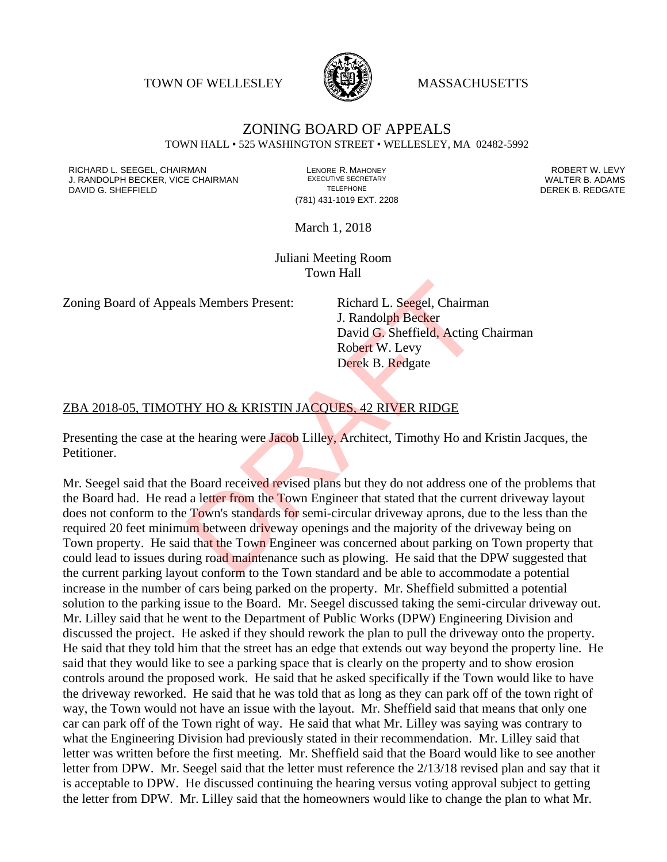TOWN OF WELLESLEY WASSACHUSETTS



#### ZONING BOARD OF APPEALS TOWN HALL • 525 WASHINGTON STREET • WELLESLEY, MA 02482-5992

RICHARD L. SEEGEL, CHAIRMAN LENORE R. MAHONEY ROBERT W. LEVY J. RANDOLPH BECKER, VICE CHAIRMAN EXECUTIVE SECRETARY THE SECRETARY THE SANDOLPH BECKER B. ADAMS<br>DEREK B. REDGATE TELEPHONE TELEPHONE TELEPHONE TELEPHONE

(781) 431-1019 EXT. 2208

DEREK B. REDGATE

March 1, 2018

Juliani Meeting Room Town Hall

Zoning Board of Appeals Members Present: Richard L. Seegel, Chairman

J. Randolph Becker David G. Sheffield, Acting Chairman Robert W. Levy Derek B. Redgate

### ZBA 2018-05, TIMOTHY HO & KRISTIN JACQUES, 42 RIVER RIDGE

Presenting the case at the hearing were Jacob Lilley, Architect, Timothy Ho and Kristin Jacques, the Petitioner.

Mr. Seegel said that the Board received revised plans but they do not address one of the problems that the Board had. He read a letter from the Town Engineer that stated that the current driveway layout does not conform to the Town's standards for semi-circular driveway aprons, due to the less than the required 20 feet minimum between driveway openings and the majority of the driveway being on Town property. He said that the Town Engineer was concerned about parking on Town property that could lead to issues during road maintenance such as plowing. He said that the DPW suggested that the current parking layout conform to the Town standard and be able to accommodate a potential increase in the number of cars being parked on the property. Mr. Sheffield submitted a potential solution to the parking issue to the Board. Mr. Seegel discussed taking the semi-circular driveway out. Mr. Lilley said that he went to the Department of Public Works (DPW) Engineering Division and discussed the project. He asked if they should rework the plan to pull the driveway onto the property. He said that they told him that the street has an edge that extends out way beyond the property line. He said that they would like to see a parking space that is clearly on the property and to show erosion controls around the proposed work. He said that he asked specifically if the Town would like to have the driveway reworked. He said that he was told that as long as they can park off of the town right of way, the Town would not have an issue with the layout. Mr. Sheffield said that means that only one car can park off of the Town right of way. He said that what Mr. Lilley was saying was contrary to what the Engineering Division had previously stated in their recommendation. Mr. Lilley said that letter was written before the first meeting. Mr. Sheffield said that the Board would like to see another letter from DPW. Mr. Seegel said that the letter must reference the 2/13/18 revised plan and say that it is acceptable to DPW. He discussed continuing the hearing versus voting approval subject to getting the letter from DPW. Mr. Lilley said that the homeowners would like to change the plan to what Mr. Is Members Present: Richard L. Seegel, Chairma<br>
J. Randolph Becker<br>
David G. Sheffield, Acting<br>
Robert W. Levy<br>
Derek B. Redgate<br>
HY HO & KRISTIN JACQUES, 42 RIVER RIDGE<br>
Reflect B. Redgate<br>
HY HO & KRISTIN JACQUES, 42 RIV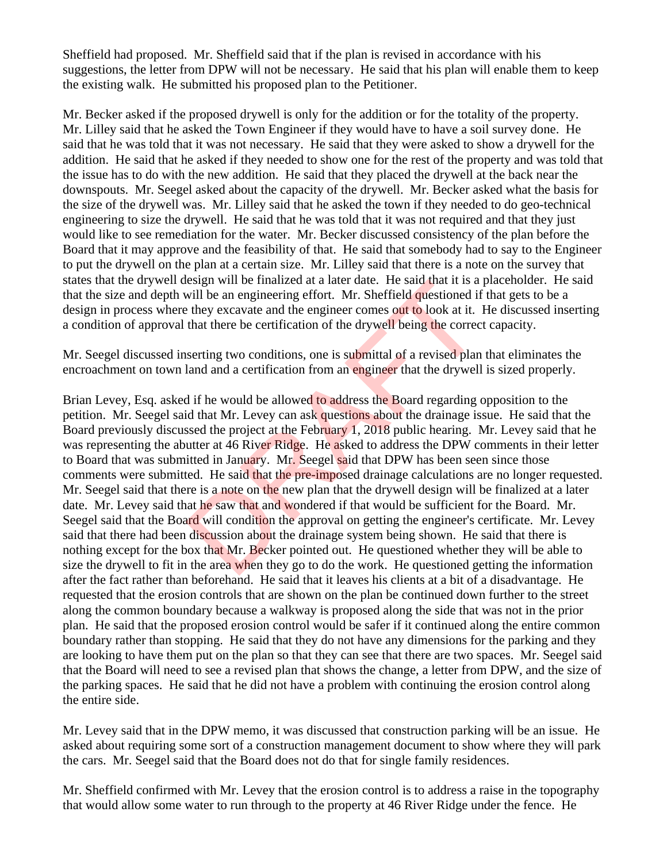Sheffield had proposed. Mr. Sheffield said that if the plan is revised in accordance with his suggestions, the letter from DPW will not be necessary. He said that his plan will enable them to keep the existing walk. He submitted his proposed plan to the Petitioner.

Mr. Becker asked if the proposed drywell is only for the addition or for the totality of the property. Mr. Lilley said that he asked the Town Engineer if they would have to have a soil survey done. He said that he was told that it was not necessary. He said that they were asked to show a drywell for the addition. He said that he asked if they needed to show one for the rest of the property and was told that the issue has to do with the new addition. He said that they placed the drywell at the back near the downspouts. Mr. Seegel asked about the capacity of the drywell. Mr. Becker asked what the basis for the size of the drywell was. Mr. Lilley said that he asked the town if they needed to do geo-technical engineering to size the drywell. He said that he was told that it was not required and that they just would like to see remediation for the water. Mr. Becker discussed consistency of the plan before the Board that it may approve and the feasibility of that. He said that somebody had to say to the Engineer to put the drywell on the plan at a certain size. Mr. Lilley said that there is a note on the survey that states that the drywell design will be finalized at a later date. He said that it is a placeholder. He said that the size and depth will be an engineering effort. Mr. Sheffield questioned if that gets to be a design in process where they excavate and the engineer comes out to look at it. He discussed inserting a condition of approval that there be certification of the drywell being the correct capacity.

Mr. Seegel discussed inserting two conditions, one is submittal of a revised plan that eliminates the encroachment on town land and a certification from an engineer that the drywell is sized properly.

Brian Levey, Esq. asked if he would be allowed to address the Board regarding opposition to the petition. Mr. Seegel said that Mr. Levey can ask questions about the drainage issue. He said that the Board previously discussed the project at the February 1, 2018 public hearing. Mr. Levey said that he was representing the abutter at 46 River Ridge. He asked to address the DPW comments in their letter to Board that was submitted in January. Mr. Seegel said that DPW has been seen since those comments were submitted. He said that the pre-imposed drainage calculations are no longer requested. Mr. Seegel said that there is a note on the new plan that the drywell design will be finalized at a later date. Mr. Levey said that he saw that and wondered if that would be sufficient for the Board. Mr. Seegel said that the Board will condition the approval on getting the engineer's certificate. Mr. Levey said that there had been discussion about the drainage system being shown. He said that there is nothing except for the box that Mr. Becker pointed out. He questioned whether they will be able to size the drywell to fit in the area when they go to do the work. He questioned getting the information after the fact rather than beforehand. He said that it leaves his clients at a bit of a disadvantage. He requested that the erosion controls that are shown on the plan be continued down further to the street along the common boundary because a walkway is proposed along the side that was not in the prior plan. He said that the proposed erosion control would be safer if it continued along the entire common boundary rather than stopping. He said that they do not have any dimensions for the parking and they are looking to have them put on the plan so that they can see that there are two spaces. Mr. Seegel said that the Board will need to see a revised plan that shows the change, a letter from DPW, and the size of the parking spaces. He said that he did not have a problem with continuing the erosion control along the entire side. esign will be inlanzed at a later date. He said that it is a<br>will be an engineering effort. Mr. Sheffield questioned if<br>they excavate and the engineer comes out to look at it.<br>that there be certification of the drywell bei

Mr. Levey said that in the DPW memo, it was discussed that construction parking will be an issue. He asked about requiring some sort of a construction management document to show where they will park the cars. Mr. Seegel said that the Board does not do that for single family residences.

Mr. Sheffield confirmed with Mr. Levey that the erosion control is to address a raise in the topography that would allow some water to run through to the property at 46 River Ridge under the fence. He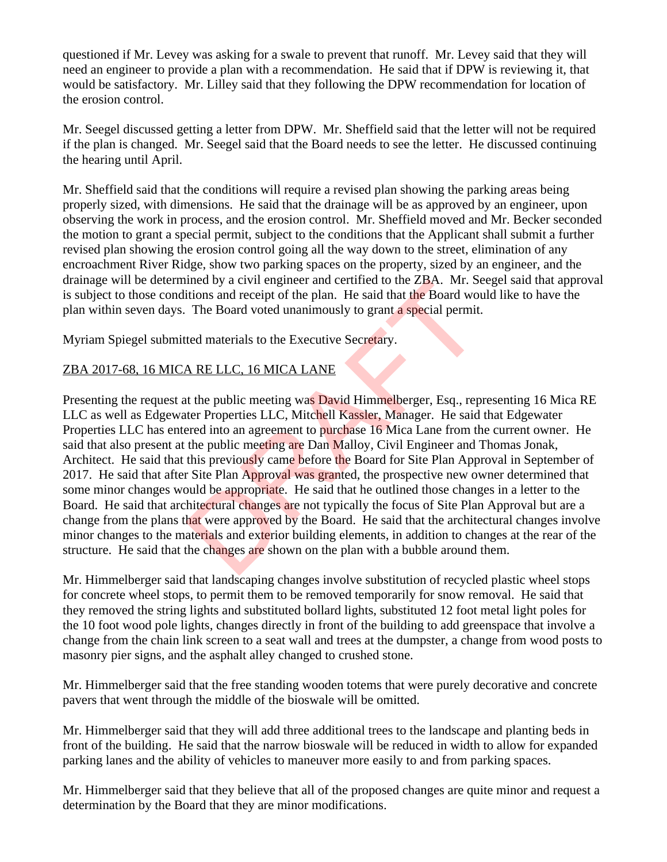questioned if Mr. Levey was asking for a swale to prevent that runoff. Mr. Levey said that they will need an engineer to provide a plan with a recommendation. He said that if DPW is reviewing it, that would be satisfactory. Mr. Lilley said that they following the DPW recommendation for location of the erosion control.

Mr. Seegel discussed getting a letter from DPW. Mr. Sheffield said that the letter will not be required if the plan is changed. Mr. Seegel said that the Board needs to see the letter. He discussed continuing the hearing until April.

Mr. Sheffield said that the conditions will require a revised plan showing the parking areas being properly sized, with dimensions. He said that the drainage will be as approved by an engineer, upon observing the work in process, and the erosion control. Mr. Sheffield moved and Mr. Becker seconded the motion to grant a special permit, subject to the conditions that the Applicant shall submit a further revised plan showing the erosion control going all the way down to the street, elimination of any encroachment River Ridge, show two parking spaces on the property, sized by an engineer, and the drainage will be determined by a civil engineer and certified to the ZBA. Mr. Seegel said that approval is subject to those conditions and receipt of the plan. He said that the Board would like to have the plan within seven days. The Board voted unanimously to grant a special permit.

Myriam Spiegel submitted materials to the Executive Secretary.

# ZBA 2017-68, 16 MICA RE LLC, 16 MICA LANE

Presenting the request at the public meeting was David Himmelberger, Esq., representing 16 Mica RE LLC as well as Edgewater Properties LLC, Mitchell Kassler, Manager. He said that Edgewater Properties LLC has entered into an agreement to purchase 16 Mica Lane from the current owner. He said that also present at the public meeting are Dan Malloy, Civil Engineer and Thomas Jonak, Architect. He said that this previously came before the Board for Site Plan Approval in September of 2017. He said that after Site Plan Approval was granted, the prospective new owner determined that some minor changes would be appropriate. He said that he outlined those changes in a letter to the Board. He said that architectural changes are not typically the focus of Site Plan Approval but are a change from the plans that were approved by the Board. He said that the architectural changes involve minor changes to the materials and exterior building elements, in addition to changes at the rear of the structure. He said that the changes are shown on the plan with a bubble around them. The and the public meeting and certained to the ZBA. Wr. Settions and receipt of the plan. He said that the Board wood<br>The Board voted unanimously to grant a special permit.<br>ted materials to the Executive Secretary.<br>A RE L

Mr. Himmelberger said that landscaping changes involve substitution of recycled plastic wheel stops for concrete wheel stops, to permit them to be removed temporarily for snow removal. He said that they removed the string lights and substituted bollard lights, substituted 12 foot metal light poles for the 10 foot wood pole lights, changes directly in front of the building to add greenspace that involve a change from the chain link screen to a seat wall and trees at the dumpster, a change from wood posts to masonry pier signs, and the asphalt alley changed to crushed stone.

Mr. Himmelberger said that the free standing wooden totems that were purely decorative and concrete pavers that went through the middle of the bioswale will be omitted.

Mr. Himmelberger said that they will add three additional trees to the landscape and planting beds in front of the building. He said that the narrow bioswale will be reduced in width to allow for expanded parking lanes and the ability of vehicles to maneuver more easily to and from parking spaces.

Mr. Himmelberger said that they believe that all of the proposed changes are quite minor and request a determination by the Board that they are minor modifications.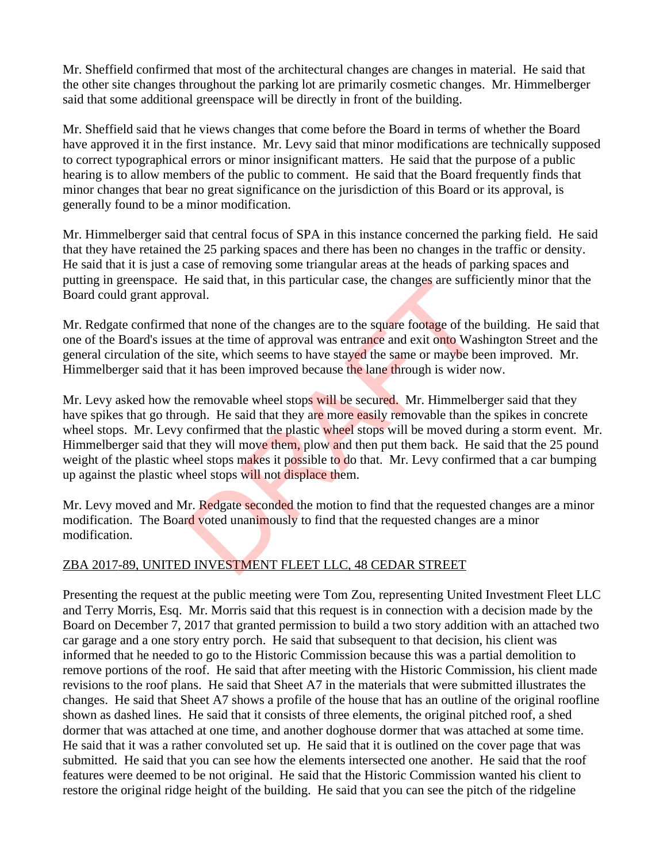Mr. Sheffield confirmed that most of the architectural changes are changes in material. He said that the other site changes throughout the parking lot are primarily cosmetic changes. Mr. Himmelberger said that some additional greenspace will be directly in front of the building.

Mr. Sheffield said that he views changes that come before the Board in terms of whether the Board have approved it in the first instance. Mr. Levy said that minor modifications are technically supposed to correct typographical errors or minor insignificant matters. He said that the purpose of a public hearing is to allow members of the public to comment. He said that the Board frequently finds that minor changes that bear no great significance on the jurisdiction of this Board or its approval, is generally found to be a minor modification.

Mr. Himmelberger said that central focus of SPA in this instance concerned the parking field. He said that they have retained the 25 parking spaces and there has been no changes in the traffic or density. He said that it is just a case of removing some triangular areas at the heads of parking spaces and putting in greenspace. He said that, in this particular case, the changes are sufficiently minor that the Board could grant approval.

Mr. Redgate confirmed that none of the changes are to the square footage of the building. He said that one of the Board's issues at the time of approval was entrance and exit onto Washington Street and the general circulation of the site, which seems to have stayed the same or maybe been improved. Mr. Himmelberger said that it has been improved because the lane through is wider now.

Mr. Levy asked how the removable wheel stops will be secured. Mr. Himmelberger said that they have spikes that go through. He said that they are more easily removable than the spikes in concrete wheel stops. Mr. Levy confirmed that the plastic wheel stops will be moved during a storm event. Mr. Himmelberger said that they will move them, plow and then put them back. He said that the 25 pound weight of the plastic wheel stops makes it possible to do that. Mr. Levy confirmed that a car bumping up against the plastic wheel stops will not displace them. Free said that, in this particular case, the changes are surficed<br>oval.<br>that none of the changes are to the square footage of the<br>said that none of the changes are to the square footage of the<br>said that higher seems to hav

Mr. Levy moved and Mr. Redgate seconded the motion to find that the requested changes are a minor modification. The Board voted unanimously to find that the requested changes are a minor modification.

## ZBA 2017-89, UNITED INVESTMENT FLEET LLC, 48 CEDAR STREET

Presenting the request at the public meeting were Tom Zou, representing United Investment Fleet LLC and Terry Morris, Esq. Mr. Morris said that this request is in connection with a decision made by the Board on December 7, 2017 that granted permission to build a two story addition with an attached two car garage and a one story entry porch. He said that subsequent to that decision, his client was informed that he needed to go to the Historic Commission because this was a partial demolition to remove portions of the roof. He said that after meeting with the Historic Commission, his client made revisions to the roof plans. He said that Sheet A7 in the materials that were submitted illustrates the changes. He said that Sheet A7 shows a profile of the house that has an outline of the original roofline shown as dashed lines. He said that it consists of three elements, the original pitched roof, a shed dormer that was attached at one time, and another doghouse dormer that was attached at some time. He said that it was a rather convoluted set up. He said that it is outlined on the cover page that was submitted. He said that you can see how the elements intersected one another. He said that the roof features were deemed to be not original. He said that the Historic Commission wanted his client to restore the original ridge height of the building. He said that you can see the pitch of the ridgeline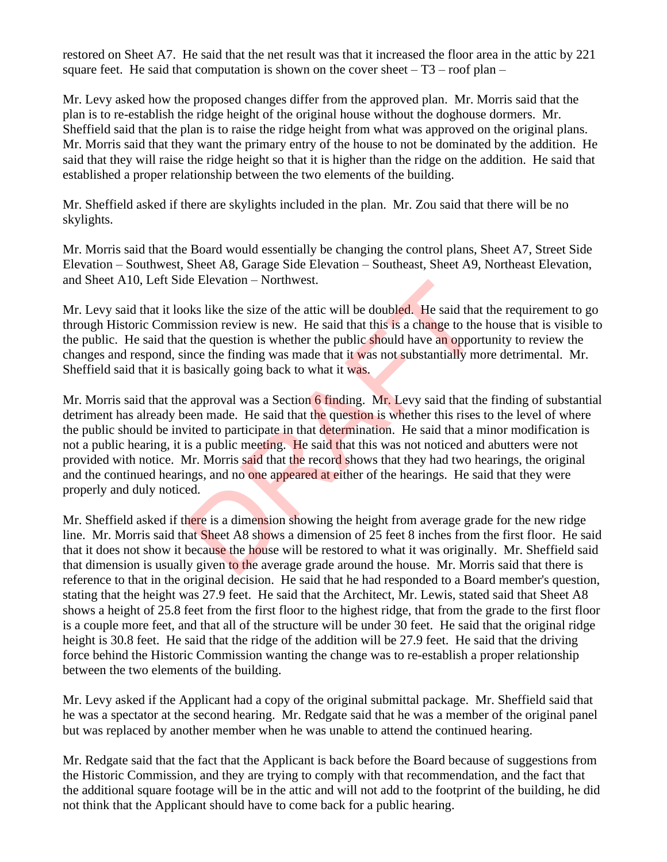restored on Sheet A7. He said that the net result was that it increased the floor area in the attic by 221 square feet. He said that computation is shown on the cover sheet  $-T3$  – roof plan –

Mr. Levy asked how the proposed changes differ from the approved plan. Mr. Morris said that the plan is to re-establish the ridge height of the original house without the doghouse dormers. Mr. Sheffield said that the plan is to raise the ridge height from what was approved on the original plans. Mr. Morris said that they want the primary entry of the house to not be dominated by the addition. He said that they will raise the ridge height so that it is higher than the ridge on the addition. He said that established a proper relationship between the two elements of the building.

Mr. Sheffield asked if there are skylights included in the plan. Mr. Zou said that there will be no skylights.

Mr. Morris said that the Board would essentially be changing the control plans, Sheet A7, Street Side Elevation – Southwest, Sheet A8, Garage Side Elevation – Southeast, Sheet A9, Northeast Elevation, and Sheet A10, Left Side Elevation – Northwest.

Mr. Levy said that it looks like the size of the attic will be doubled. He said that the requirement to go through Historic Commission review is new. He said that this is a change to the house that is visible to the public. He said that the question is whether the public should have an opportunity to review the changes and respond, since the finding was made that it was not substantially more detrimental. Mr. Sheffield said that it is basically going back to what it was.

Mr. Morris said that the approval was a Section 6 finding. Mr. Levy said that the finding of substantial detriment has already been made. He said that the question is whether this rises to the level of where the public should be invited to participate in that determination. He said that a minor modification is not a public hearing, it is a public meeting. He said that this was not noticed and abutters were not provided with notice. Mr. Morris said that the record shows that they had two hearings, the original and the continued hearings, and no one appeared at either of the hearings. He said that they were properly and duly noticed. be Elevation – Northwest.<br>
Solved. He said that<br>
sission review is new. He said that this is a change to the<br>
the question is whether the public should have an oppor<br>
mee the finding was made that it was not substantially

Mr. Sheffield asked if there is a dimension showing the height from average grade for the new ridge line. Mr. Morris said that Sheet A8 shows a dimension of 25 feet 8 inches from the first floor. He said that it does not show it because the house will be restored to what it was originally. Mr. Sheffield said that dimension is usually given to the average grade around the house. Mr. Morris said that there is reference to that in the original decision. He said that he had responded to a Board member's question, stating that the height was 27.9 feet. He said that the Architect, Mr. Lewis, stated said that Sheet A8 shows a height of 25.8 feet from the first floor to the highest ridge, that from the grade to the first floor is a couple more feet, and that all of the structure will be under 30 feet. He said that the original ridge height is 30.8 feet. He said that the ridge of the addition will be 27.9 feet. He said that the driving force behind the Historic Commission wanting the change was to re-establish a proper relationship between the two elements of the building.

Mr. Levy asked if the Applicant had a copy of the original submittal package. Mr. Sheffield said that he was a spectator at the second hearing. Mr. Redgate said that he was a member of the original panel but was replaced by another member when he was unable to attend the continued hearing.

Mr. Redgate said that the fact that the Applicant is back before the Board because of suggestions from the Historic Commission, and they are trying to comply with that recommendation, and the fact that the additional square footage will be in the attic and will not add to the footprint of the building, he did not think that the Applicant should have to come back for a public hearing.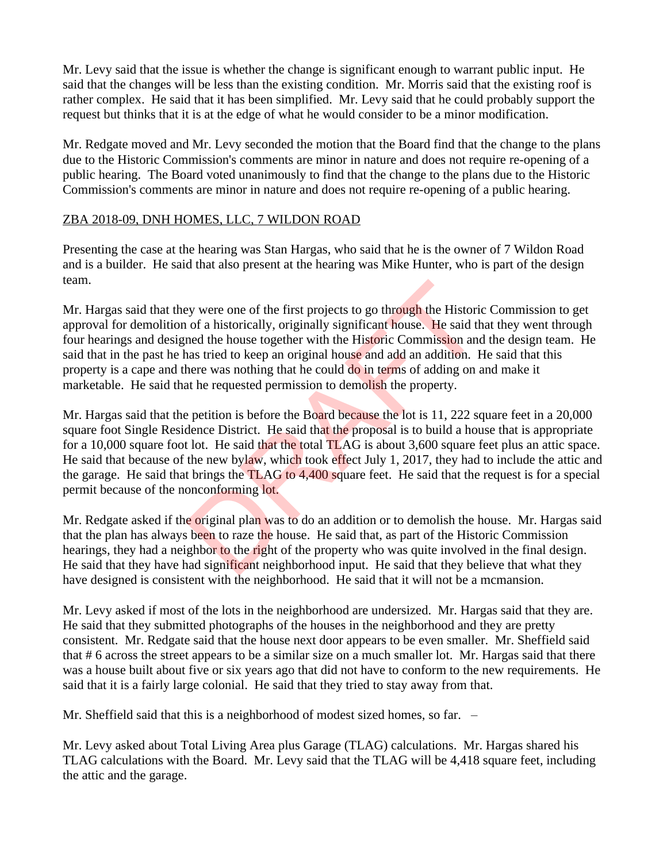Mr. Levy said that the issue is whether the change is significant enough to warrant public input. He said that the changes will be less than the existing condition. Mr. Morris said that the existing roof is rather complex. He said that it has been simplified. Mr. Levy said that he could probably support the request but thinks that it is at the edge of what he would consider to be a minor modification.

Mr. Redgate moved and Mr. Levy seconded the motion that the Board find that the change to the plans due to the Historic Commission's comments are minor in nature and does not require re-opening of a public hearing. The Board voted unanimously to find that the change to the plans due to the Historic Commission's comments are minor in nature and does not require re-opening of a public hearing.

### ZBA 2018-09, DNH HOMES, LLC, 7 WILDON ROAD

Presenting the case at the hearing was Stan Hargas, who said that he is the owner of 7 Wildon Road and is a builder. He said that also present at the hearing was Mike Hunter, who is part of the design team.

Mr. Hargas said that they were one of the first projects to go through the Historic Commission to get approval for demolition of a historically, originally significant house. He said that they went through four hearings and designed the house together with the Historic Commission and the design team. He said that in the past he has tried to keep an original house and add an addition. He said that this property is a cape and there was nothing that he could do in terms of adding on and make it marketable. He said that he requested permission to demolish the property.

Mr. Hargas said that the petition is before the Board because the lot is 11, 222 square feet in a 20,000 square foot Single Residence District. He said that the proposal is to build a house that is appropriate for a 10,000 square foot lot. He said that the total TLAG is about 3,600 square feet plus an attic space. He said that because of the new bylaw, which took effect July 1, 2017, they had to include the attic and the garage. He said that brings the TLAG to 4,400 square feet. He said that the request is for a special permit because of the nonconforming lot. by were one of the first projects to go through the Historic of a historically, originally significant house. He said the house together with the Historic Commission and as tried to keep an original house and add an additi

Mr. Redgate asked if the original plan was to do an addition or to demolish the house. Mr. Hargas said that the plan has always been to raze the house. He said that, as part of the Historic Commission hearings, they had a neighbor to the right of the property who was quite involved in the final design. He said that they have had significant neighborhood input. He said that they believe that what they have designed is consistent with the neighborhood. He said that it will not be a mcmansion.

Mr. Levy asked if most of the lots in the neighborhood are undersized. Mr. Hargas said that they are. He said that they submitted photographs of the houses in the neighborhood and they are pretty consistent. Mr. Redgate said that the house next door appears to be even smaller. Mr. Sheffield said that # 6 across the street appears to be a similar size on a much smaller lot. Mr. Hargas said that there was a house built about five or six years ago that did not have to conform to the new requirements. He said that it is a fairly large colonial. He said that they tried to stay away from that.

Mr. Sheffield said that this is a neighborhood of modest sized homes, so far.  $-$ 

Mr. Levy asked about Total Living Area plus Garage (TLAG) calculations. Mr. Hargas shared his TLAG calculations with the Board. Mr. Levy said that the TLAG will be 4,418 square feet, including the attic and the garage.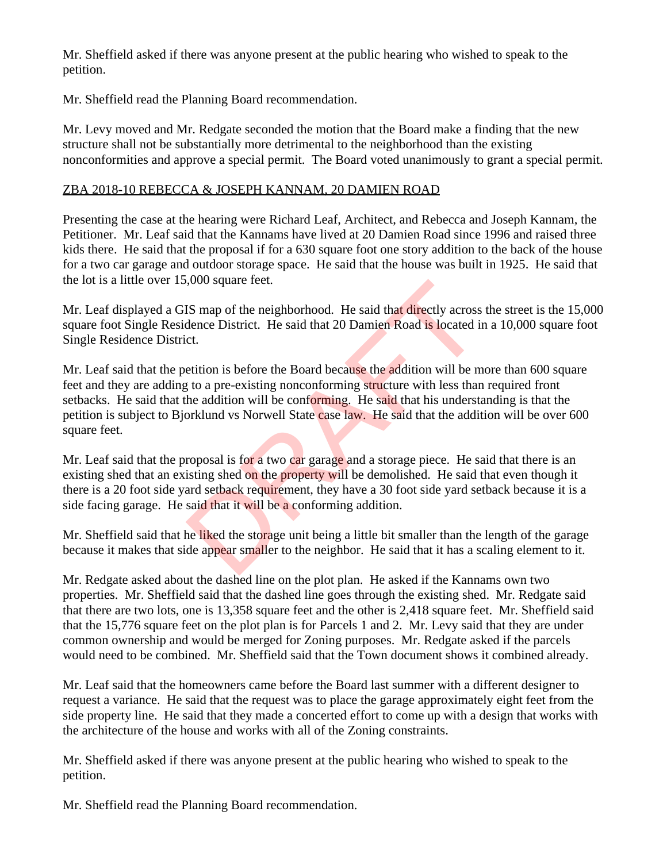Mr. Sheffield asked if there was anyone present at the public hearing who wished to speak to the petition.

Mr. Sheffield read the Planning Board recommendation.

Mr. Levy moved and Mr. Redgate seconded the motion that the Board make a finding that the new structure shall not be substantially more detrimental to the neighborhood than the existing nonconformities and approve a special permit. The Board voted unanimously to grant a special permit.

## ZBA 2018-10 REBECCA & JOSEPH KANNAM, 20 DAMIEN ROAD

Presenting the case at the hearing were Richard Leaf, Architect, and Rebecca and Joseph Kannam, the Petitioner. Mr. Leaf said that the Kannams have lived at 20 Damien Road since 1996 and raised three kids there. He said that the proposal if for a 630 square foot one story addition to the back of the house for a two car garage and outdoor storage space. He said that the house was built in 1925. He said that the lot is a little over 15,000 square feet.

Mr. Leaf displayed a GIS map of the neighborhood. He said that directly across the street is the 15,000 square foot Single Residence District. He said that 20 Damien Road is located in a 10,000 square foot Single Residence District.

Mr. Leaf said that the petition is before the Board because the addition will be more than 600 square feet and they are adding to a pre-existing nonconforming structure with less than required front setbacks. He said that the addition will be conforming. He said that his understanding is that the petition is subject to Bjorklund vs Norwell State case law. He said that the addition will be over 600 square feet. (15),000 square reet.<br>
IS map of the neighborhood. He said that directly across<br>
dence District. He said that 20 Damien Road is located is<br>
ct.<br>
etition is before the Board because the addition will be m<br>
to a pre-existing

Mr. Leaf said that the proposal is for a two car garage and a storage piece. He said that there is an existing shed that an existing shed on the property will be demolished. He said that even though it there is a 20 foot side yard setback requirement, they have a 30 foot side yard setback because it is a side facing garage. He said that it will be a conforming addition.

Mr. Sheffield said that he liked the storage unit being a little bit smaller than the length of the garage because it makes that side appear smaller to the neighbor. He said that it has a scaling element to it.

Mr. Redgate asked about the dashed line on the plot plan. He asked if the Kannams own two properties. Mr. Sheffield said that the dashed line goes through the existing shed. Mr. Redgate said that there are two lots, one is 13,358 square feet and the other is 2,418 square feet. Mr. Sheffield said that the 15,776 square feet on the plot plan is for Parcels 1 and 2. Mr. Levy said that they are under common ownership and would be merged for Zoning purposes. Mr. Redgate asked if the parcels would need to be combined. Mr. Sheffield said that the Town document shows it combined already.

Mr. Leaf said that the homeowners came before the Board last summer with a different designer to request a variance. He said that the request was to place the garage approximately eight feet from the side property line. He said that they made a concerted effort to come up with a design that works with the architecture of the house and works with all of the Zoning constraints.

Mr. Sheffield asked if there was anyone present at the public hearing who wished to speak to the petition.

Mr. Sheffield read the Planning Board recommendation.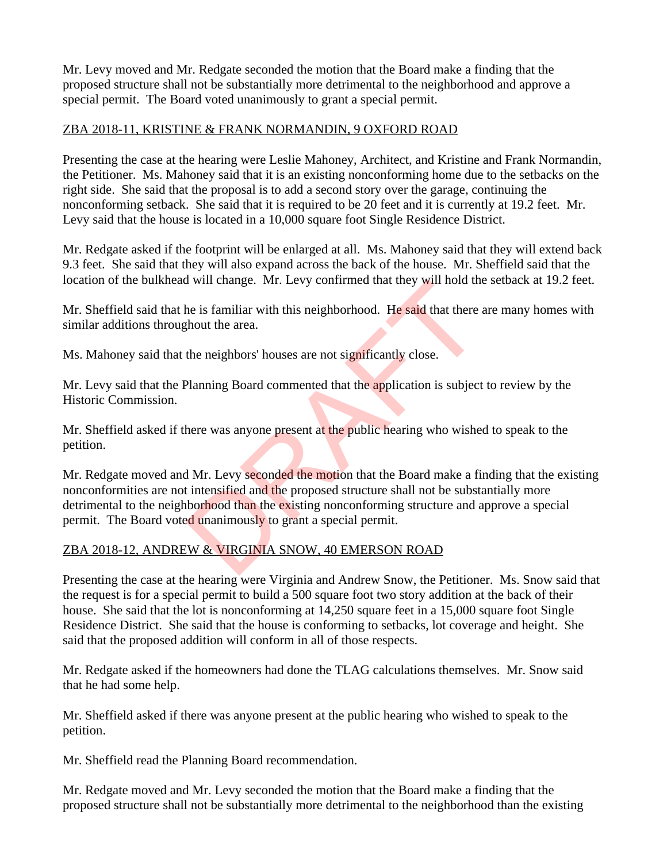Mr. Levy moved and Mr. Redgate seconded the motion that the Board make a finding that the proposed structure shall not be substantially more detrimental to the neighborhood and approve a special permit. The Board voted unanimously to grant a special permit.

## ZBA 2018-11, KRISTINE & FRANK NORMANDIN, 9 OXFORD ROAD

Presenting the case at the hearing were Leslie Mahoney, Architect, and Kristine and Frank Normandin, the Petitioner. Ms. Mahoney said that it is an existing nonconforming home due to the setbacks on the right side. She said that the proposal is to add a second story over the garage, continuing the nonconforming setback. She said that it is required to be 20 feet and it is currently at 19.2 feet. Mr. Levy said that the house is located in a 10,000 square foot Single Residence District.

Mr. Redgate asked if the footprint will be enlarged at all. Ms. Mahoney said that they will extend back 9.3 feet. She said that they will also expand across the back of the house. Mr. Sheffield said that the location of the bulkhead will change. Mr. Levy confirmed that they will hold the setback at 19.2 feet.

Mr. Sheffield said that he is familiar with this neighborhood. He said that there are many homes with similar additions throughout the area.

Ms. Mahoney said that the neighbors' houses are not significantly close.

Mr. Levy said that the Planning Board commented that the application is subject to review by the Historic Commission.

Mr. Sheffield asked if there was anyone present at the public hearing who wished to speak to the petition.

Mr. Redgate moved and Mr. Levy seconded the motion that the Board make a finding that the existing nonconformities are not intensified and the proposed structure shall not be substantially more detrimental to the neighborhood than the existing nonconforming structure and approve a special permit. The Board voted unanimously to grant a special permit. The is familiar with this neighborhood. He said that there the is familiar with this neighborhood. He said that there thout the area.<br>
the neighbors' houses are not significantly close.<br>
Planning Board commented that the a

# ZBA 2018-12, ANDREW & VIRGINIA SNOW, 40 EMERSON ROAD

Presenting the case at the hearing were Virginia and Andrew Snow, the Petitioner. Ms. Snow said that the request is for a special permit to build a 500 square foot two story addition at the back of their house. She said that the lot is nonconforming at 14,250 square feet in a 15,000 square foot Single Residence District. She said that the house is conforming to setbacks, lot coverage and height. She said that the proposed addition will conform in all of those respects.

Mr. Redgate asked if the homeowners had done the TLAG calculations themselves. Mr. Snow said that he had some help.

Mr. Sheffield asked if there was anyone present at the public hearing who wished to speak to the petition.

Mr. Sheffield read the Planning Board recommendation.

Mr. Redgate moved and Mr. Levy seconded the motion that the Board make a finding that the proposed structure shall not be substantially more detrimental to the neighborhood than the existing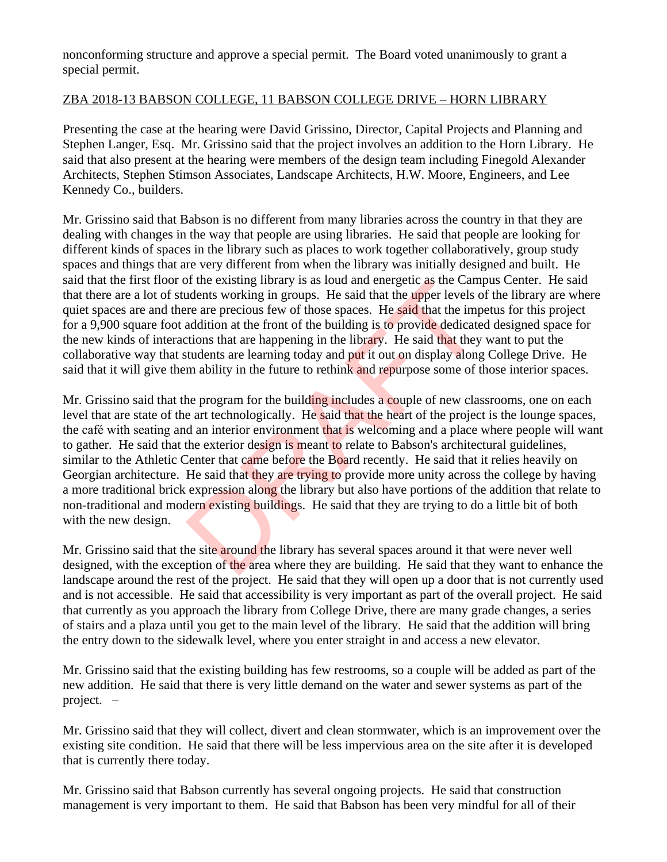nonconforming structure and approve a special permit. The Board voted unanimously to grant a special permit.

## ZBA 2018-13 BABSON COLLEGE, 11 BABSON COLLEGE DRIVE – HORN LIBRARY

Presenting the case at the hearing were David Grissino, Director, Capital Projects and Planning and Stephen Langer, Esq. Mr. Grissino said that the project involves an addition to the Horn Library. He said that also present at the hearing were members of the design team including Finegold Alexander Architects, Stephen Stimson Associates, Landscape Architects, H.W. Moore, Engineers, and Lee Kennedy Co., builders.

Mr. Grissino said that Babson is no different from many libraries across the country in that they are dealing with changes in the way that people are using libraries. He said that people are looking for different kinds of spaces in the library such as places to work together collaboratively, group study spaces and things that are very different from when the library was initially designed and built. He said that the first floor of the existing library is as loud and energetic as the Campus Center. He said that there are a lot of students working in groups. He said that the upper levels of the library are where quiet spaces are and there are precious few of those spaces. He said that the impetus for this project for a 9,900 square foot addition at the front of the building is to provide dedicated designed space for the new kinds of interactions that are happening in the library. He said that they want to put the collaborative way that students are learning today and put it out on display along College Drive. He said that it will give them ability in the future to rethink and repurpose some of those interior spaces.

Mr. Grissino said that the program for the building includes a couple of new classrooms, one on each level that are state of the art technologically. He said that the heart of the project is the lounge spaces, the café with seating and an interior environment that is welcoming and a place where people will want to gather. He said that the exterior design is meant to relate to Babson's architectural guidelines, similar to the Athletic Center that came before the Board recently. He said that it relies heavily on Georgian architecture. He said that they are trying to provide more unity across the college by having a more traditional brick expression along the library but also have portions of the addition that relate to non-traditional and modern existing buildings. He said that they are trying to do a little bit of both with the new design. of the existing intrary is as foud and energence as the Cam<br>idents working in groups. He said that the upper levels c<br>re are precious few of those spaces. He said that the imp<br>addition at the front of the building is to pr

Mr. Grissino said that the site around the library has several spaces around it that were never well designed, with the exception of the area where they are building. He said that they want to enhance the landscape around the rest of the project. He said that they will open up a door that is not currently used and is not accessible. He said that accessibility is very important as part of the overall project. He said that currently as you approach the library from College Drive, there are many grade changes, a series of stairs and a plaza until you get to the main level of the library. He said that the addition will bring the entry down to the sidewalk level, where you enter straight in and access a new elevator.

Mr. Grissino said that the existing building has few restrooms, so a couple will be added as part of the new addition. He said that there is very little demand on the water and sewer systems as part of the project. –

Mr. Grissino said that they will collect, divert and clean stormwater, which is an improvement over the existing site condition. He said that there will be less impervious area on the site after it is developed that is currently there today.

Mr. Grissino said that Babson currently has several ongoing projects. He said that construction management is very important to them. He said that Babson has been very mindful for all of their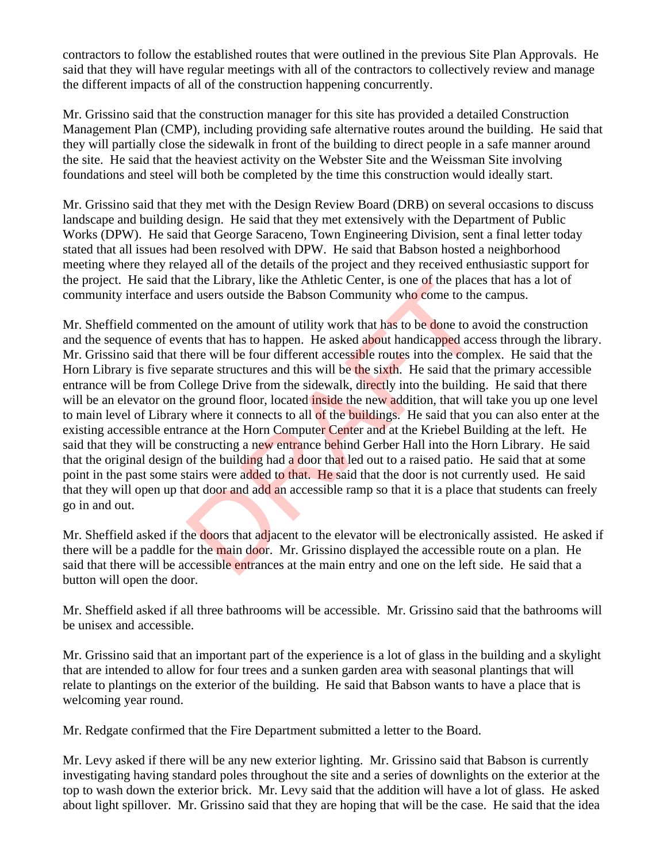contractors to follow the established routes that were outlined in the previous Site Plan Approvals. He said that they will have regular meetings with all of the contractors to collectively review and manage the different impacts of all of the construction happening concurrently.

Mr. Grissino said that the construction manager for this site has provided a detailed Construction Management Plan (CMP), including providing safe alternative routes around the building. He said that they will partially close the sidewalk in front of the building to direct people in a safe manner around the site. He said that the heaviest activity on the Webster Site and the Weissman Site involving foundations and steel will both be completed by the time this construction would ideally start.

Mr. Grissino said that they met with the Design Review Board (DRB) on several occasions to discuss landscape and building design. He said that they met extensively with the Department of Public Works (DPW). He said that George Saraceno, Town Engineering Division, sent a final letter today stated that all issues had been resolved with DPW. He said that Babson hosted a neighborhood meeting where they relayed all of the details of the project and they received enthusiastic support for the project. He said that the Library, like the Athletic Center, is one of the places that has a lot of community interface and users outside the Babson Community who come to the campus.

Mr. Sheffield commented on the amount of utility work that has to be done to avoid the construction and the sequence of events that has to happen. He asked about handicapped access through the library. Mr. Grissino said that there will be four different accessible routes into the complex. He said that the Horn Library is five separate structures and this will be the sixth. He said that the primary accessible entrance will be from College Drive from the sidewalk, directly into the building. He said that there will be an elevator on the ground floor, located inside the new addition, that will take you up one level to main level of Library where it connects to all of the buildings. He said that you can also enter at the existing accessible entrance at the Horn Computer Center and at the Kriebel Building at the left. He said that they will be constructing a new entrance behind Gerber Hall into the Horn Library. He said that the original design of the building had a door that led out to a raised patio. He said that at some point in the past some stairs were added to that. He said that the door is not currently used. He said that they will open up that door and add an accessible ramp so that it is a place that students can freely go in and out. It in the Library, like the Athletic Center, is one of the place<br>d users outside the Babson Community who come to the<br>ed on the amount of utility work that has to be done to av<br>ents that has to happen. He asked about handc

Mr. Sheffield asked if the doors that adjacent to the elevator will be electronically assisted. He asked if there will be a paddle for the main door. Mr. Grissino displayed the accessible route on a plan. He said that there will be accessible entrances at the main entry and one on the left side. He said that a button will open the door.

Mr. Sheffield asked if all three bathrooms will be accessible. Mr. Grissino said that the bathrooms will be unisex and accessible.

Mr. Grissino said that an important part of the experience is a lot of glass in the building and a skylight that are intended to allow for four trees and a sunken garden area with seasonal plantings that will relate to plantings on the exterior of the building. He said that Babson wants to have a place that is welcoming year round.

Mr. Redgate confirmed that the Fire Department submitted a letter to the Board.

Mr. Levy asked if there will be any new exterior lighting. Mr. Grissino said that Babson is currently investigating having standard poles throughout the site and a series of downlights on the exterior at the top to wash down the exterior brick. Mr. Levy said that the addition will have a lot of glass. He asked about light spillover. Mr. Grissino said that they are hoping that will be the case. He said that the idea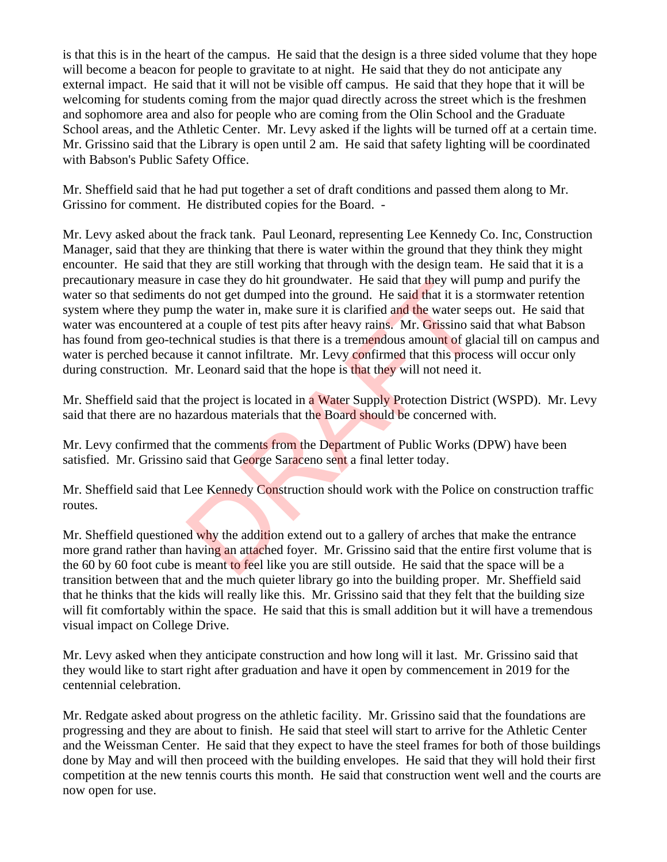is that this is in the heart of the campus. He said that the design is a three sided volume that they hope will become a beacon for people to gravitate to at night. He said that they do not anticipate any external impact. He said that it will not be visible off campus. He said that they hope that it will be welcoming for students coming from the major quad directly across the street which is the freshmen and sophomore area and also for people who are coming from the Olin School and the Graduate School areas, and the Athletic Center. Mr. Levy asked if the lights will be turned off at a certain time. Mr. Grissino said that the Library is open until 2 am. He said that safety lighting will be coordinated with Babson's Public Safety Office.

Mr. Sheffield said that he had put together a set of draft conditions and passed them along to Mr. Grissino for comment. He distributed copies for the Board. -

Mr. Levy asked about the frack tank. Paul Leonard, representing Lee Kennedy Co. Inc, Construction Manager, said that they are thinking that there is water within the ground that they think they might encounter. He said that they are still working that through with the design team. He said that it is a precautionary measure in case they do hit groundwater. He said that they will pump and purify the water so that sediments do not get dumped into the ground. He said that it is a stormwater retention system where they pump the water in, make sure it is clarified and the water seeps out. He said that water was encountered at a couple of test pits after heavy rains. Mr. Grissino said that what Babson has found from geo-technical studies is that there is a tremendous amount of glacial till on campus and water is perched because it cannot infiltrate. Mr. Levy confirmed that this process will occur only during construction. Mr. Leonard said that the hope is that they will not need it. In case they do mt groundwater. He said that they will plot on the ground. He said that it is a s<br>p the water in, make sure it is clarified and the water see<br>at a couple of test pits after heavy rains. Mr. Grissino sai<br>mic

Mr. Sheffield said that the project is located in a Water Supply Protection District (WSPD). Mr. Levy said that there are no hazardous materials that the Board should be concerned with.

Mr. Levy confirmed that the comments from the Department of Public Works (DPW) have been satisfied. Mr. Grissino said that George Saraceno sent a final letter today.

Mr. Sheffield said that Lee Kennedy Construction should work with the Police on construction traffic routes.

Mr. Sheffield questioned why the addition extend out to a gallery of arches that make the entrance more grand rather than having an attached foyer. Mr. Grissino said that the entire first volume that is the 60 by 60 foot cube is meant to feel like you are still outside. He said that the space will be a transition between that and the much quieter library go into the building proper. Mr. Sheffield said that he thinks that the kids will really like this. Mr. Grissino said that they felt that the building size will fit comfortably within the space. He said that this is small addition but it will have a tremendous visual impact on College Drive.

Mr. Levy asked when they anticipate construction and how long will it last. Mr. Grissino said that they would like to start right after graduation and have it open by commencement in 2019 for the centennial celebration.

Mr. Redgate asked about progress on the athletic facility. Mr. Grissino said that the foundations are progressing and they are about to finish. He said that steel will start to arrive for the Athletic Center and the Weissman Center. He said that they expect to have the steel frames for both of those buildings done by May and will then proceed with the building envelopes. He said that they will hold their first competition at the new tennis courts this month. He said that construction went well and the courts are now open for use.